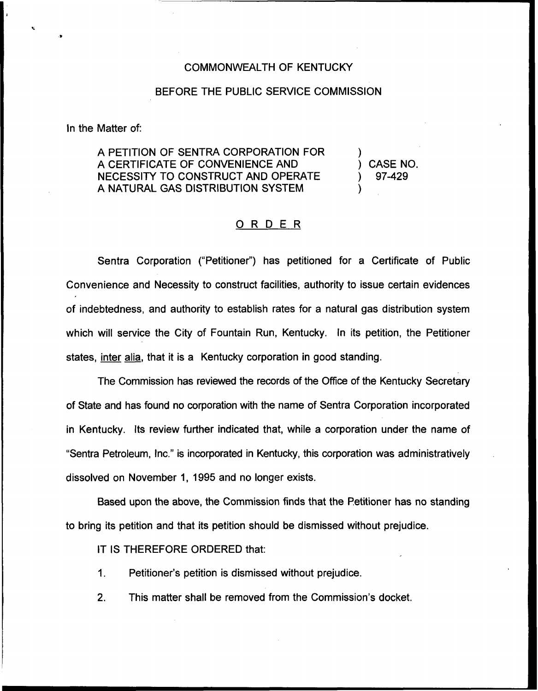## COMMONWEALTH OF KENTUCKY

## BEFORE THE PUBLIC SERVICE COMMISSION

In the Matter of:

A PETITION OF SENTRA CORPORATION FOR A CERTIFICATE OF CONVENIENCE AND NECESSITY TO CONSTRUCT AND OPERATE A NATURAL GAS DISTRIBUTION SYSTEM

) ) CASE NO. ) 97-429 )

## ORDER

Sentra Corporation ("Petitioner") has petitioned for a Certificate of Public Convenience and Necessity to construct facilities, authority to issue certain evidences of indebtedness, and authority to establish rates for a natural gas distribution system which will service the City of Fountain Run, Kentucky. In its petition, the Petitioner states, inter alia, that it is a Kentucky corporation in good standing.

The Commission has reviewed the records of the Office of the Kentucky Secretary of State and has found no corporation with the name of Sentra Corporation incorporated in Kentucky. Its review further indicated that, while a corporation under the name of "Sentra Petroleum, Inc." is incorporated in Kentucky, this corporation was administratively dissolved on November 1, 1995 and no longer exists.

Based upon the above, the Commission finds that the Petitioner has no standing to bring its petition and that its petition should be dismissed without prejudice.

IT IS THEREFORE ORDERED that:

 $\mathbf{1}$ . Petitioner's petition is dismissed without prejudice.

2. This matter shall be removed from the Commission's docket.